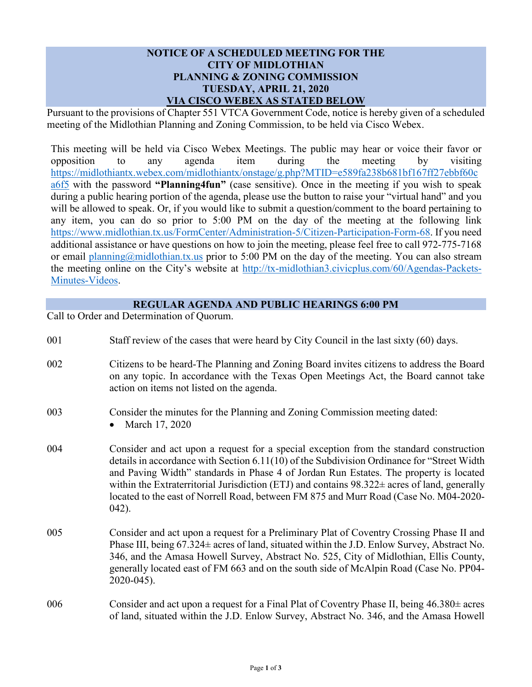## **NOTICE OF A SCHEDULED MEETING FOR THE CITY OF MIDLOTHIAN PLANNING & ZONING COMMISSION TUESDAY, APRIL 21, 2020 VIA CISCO WEBEX AS STATED BELOW**

Pursuant to the provisions of Chapter 551 VTCA Government Code, notice is hereby given of a scheduled meeting of the Midlothian Planning and Zoning Commission, to be held via Cisco Webex.

This meeting will be held via Cisco Webex Meetings. The public may hear or voice their favor or opposition to any agenda item during the meeting by visiting [https://midlothiantx.webex.com/midlothiantx/onstage/g.php?MTID=e589fa238b681bf167ff27ebbf60c](https://midlothiantx.webex.com/midlothiantx/onstage/g.php?MTID=e589fa238b681bf167ff27ebbf60ca6f5) [a6f5](https://midlothiantx.webex.com/midlothiantx/onstage/g.php?MTID=e589fa238b681bf167ff27ebbf60ca6f5) with the password **"Planning4fun"** (case sensitive). Once in the meeting if you wish to speak during a public hearing portion of the agenda, please use the button to raise your "virtual hand" and you will be allowed to speak. Or, if you would like to submit a question/comment to the board pertaining to any item, you can do so prior to 5:00 PM on the day of the meeting at the following link [https://www.midlothian.tx.us/FormCenter/Administration-5/Citizen-Participation-Form-68.](https://www.midlothian.tx.us/FormCenter/Administration-5/Citizen-Participation-Form-68) If you need additional assistance or have questions on how to join the meeting, please feel free to call 972-775-7168 or email [planning@midlothian.tx.us](mailto:planning@midlothian.tx.us) prior to 5:00 PM on the day of the meeting. You can also stream the meeting online on the City's website at [http://tx-midlothian3.civicplus.com/60/Agendas-Packets-](http://tx-midlothian3.civicplus.com/60/Agendas-Packets-Minutes-Videos)[Minutes-Videos.](http://tx-midlothian3.civicplus.com/60/Agendas-Packets-Minutes-Videos)

## **REGULAR AGENDA AND PUBLIC HEARINGS 6:00 PM**

Call to Order and Determination of Quorum.

| 001 | Staff review of the cases that were heard by City Council in the last sixty (60) days.                                                                                                                                                                                                                                                                                                                                                                                                  |
|-----|-----------------------------------------------------------------------------------------------------------------------------------------------------------------------------------------------------------------------------------------------------------------------------------------------------------------------------------------------------------------------------------------------------------------------------------------------------------------------------------------|
| 002 | Citizens to be heard-The Planning and Zoning Board invites citizens to address the Board<br>on any topic. In accordance with the Texas Open Meetings Act, the Board cannot take<br>action on items not listed on the agenda.                                                                                                                                                                                                                                                            |
| 003 | Consider the minutes for the Planning and Zoning Commission meeting dated:<br>March 17, 2020                                                                                                                                                                                                                                                                                                                                                                                            |
| 004 | Consider and act upon a request for a special exception from the standard construction<br>details in accordance with Section 6.11(10) of the Subdivision Ordinance for "Street Width<br>and Paving Width" standards in Phase 4 of Jordan Run Estates. The property is located<br>within the Extraterritorial Jurisdiction (ETJ) and contains $98.322 \pm$ acres of land, generally<br>located to the east of Norrell Road, between FM 875 and Murr Road (Case No. M04-2020-<br>$042$ ). |
| 005 | Consider and act upon a request for a Preliminary Plat of Coventry Crossing Phase II and<br>Phase III, being 67.324± acres of land, situated within the J.D. Enlow Survey, Abstract No.<br>346, and the Amasa Howell Survey, Abstract No. 525, City of Midlothian, Ellis County,<br>generally located east of FM 663 and on the south side of McAlpin Road (Case No. PP04-<br>2020-045).                                                                                                |
| 006 | Consider and act upon a request for a Final Plat of Coventry Phase II, being $46.380 \pm \text{acres}$<br>of land, situated within the J.D. Enlow Survey, Abstract No. 346, and the Amasa Howell                                                                                                                                                                                                                                                                                        |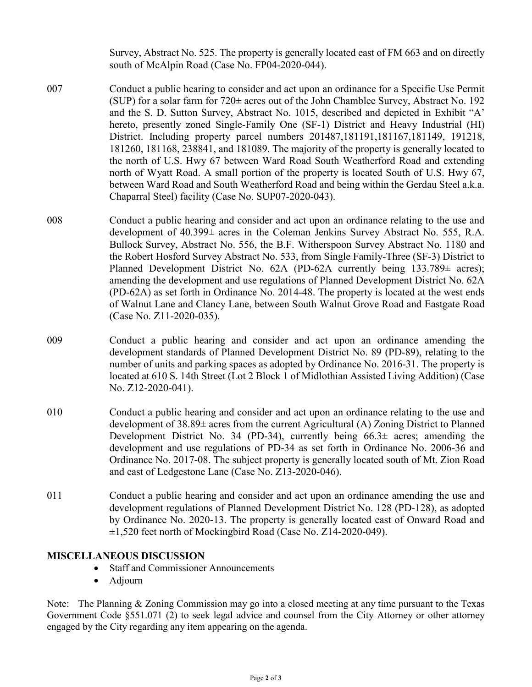Survey, Abstract No. 525. The property is generally located east of FM 663 and on directly south of McAlpin Road (Case No. FP04-2020-044).

- 007 Conduct a public hearing to consider and act upon an ordinance for a Specific Use Permit (SUP) for a solar farm for  $720\pm$  acres out of the John Chamblee Survey, Abstract No. 192 and the S. D. Sutton Survey, Abstract No. 1015, described and depicted in Exhibit "A' hereto, presently zoned Single-Family One (SF-1) District and Heavy Industrial (HI) District. Including property parcel numbers 201487,181191,181167,181149, 191218, 181260, 181168, 238841, and 181089. The majority of the property is generally located to the north of U.S. Hwy 67 between Ward Road South Weatherford Road and extending north of Wyatt Road. A small portion of the property is located South of U.S. Hwy 67, between Ward Road and South Weatherford Road and being within the Gerdau Steel a.k.a. Chaparral Steel) facility (Case No. SUP07-2020-043).
- 008 Conduct a public hearing and consider and act upon an ordinance relating to the use and development of 40.399± acres in the Coleman Jenkins Survey Abstract No. 555, R.A. Bullock Survey, Abstract No. 556, the B.F. Witherspoon Survey Abstract No. 1180 and the Robert Hosford Survey Abstract No. 533, from Single Family-Three (SF-3) District to Planned Development District No. 62A (PD-62A currently being 133.789± acres); amending the development and use regulations of Planned Development District No. 62A (PD-62A) as set forth in Ordinance No. 2014-48. The property is located at the west ends of Walnut Lane and Clancy Lane, between South Walnut Grove Road and Eastgate Road (Case No. Z11-2020-035).
- 009 Conduct a public hearing and consider and act upon an ordinance amending the development standards of Planned Development District No. 89 (PD-89), relating to the number of units and parking spaces as adopted by Ordinance No. 2016-31. The property is located at 610 S. 14th Street (Lot 2 Block 1 of Midlothian Assisted Living Addition) (Case No. Z12-2020-041).
- 010 Conduct a public hearing and consider and act upon an ordinance relating to the use and development of 38.89± acres from the current Agricultural (A) Zoning District to Planned Development District No. 34 (PD-34), currently being  $66.3\pm$  acres; amending the development and use regulations of PD-34 as set forth in Ordinance No. 2006-36 and Ordinance No. 2017-08. The subject property is generally located south of Mt. Zion Road and east of Ledgestone Lane (Case No. Z13-2020-046).
- 011 Conduct a public hearing and consider and act upon an ordinance amending the use and development regulations of Planned Development District No. 128 (PD-128), as adopted by Ordinance No. 2020-13. The property is generally located east of Onward Road and ±1,520 feet north of Mockingbird Road (Case No. Z14-2020-049).

## **MISCELLANEOUS DISCUSSION**

- Staff and Commissioner Announcements
- Adjourn

Note: The Planning & Zoning Commission may go into a closed meeting at any time pursuant to the Texas Government Code §551.071 (2) to seek legal advice and counsel from the City Attorney or other attorney engaged by the City regarding any item appearing on the agenda.